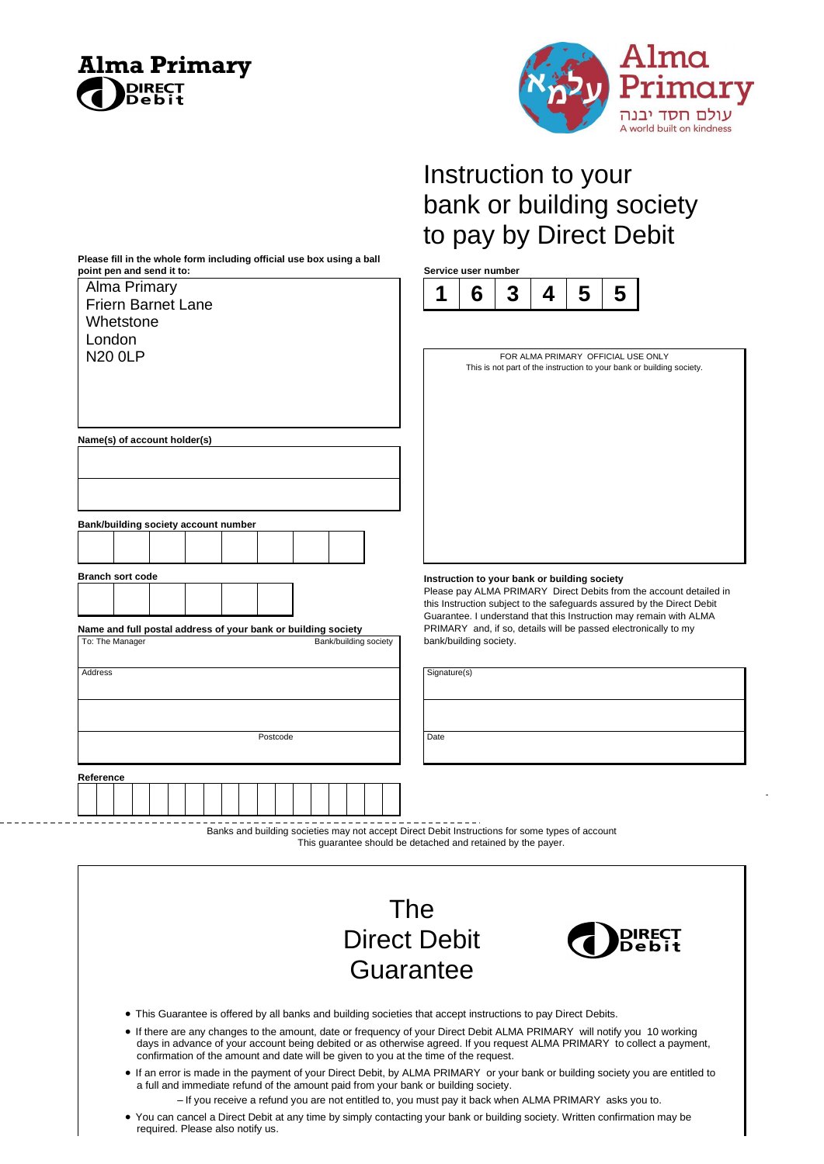

\_ \_ \_ \_ \_ \_ \_ \_ .

**Please fill in the whole form including official use box using a ball** 



D

# Instruction to your bank or building society to pay by Direct Debit



| Alma Primary                                                                                    | 1            | 6                      | 3 | 4 | 5                                            | 5                                  |                                                                                                                                       |
|-------------------------------------------------------------------------------------------------|--------------|------------------------|---|---|----------------------------------------------|------------------------------------|---------------------------------------------------------------------------------------------------------------------------------------|
| <b>Friern Barnet Lane</b>                                                                       |              |                        |   |   |                                              |                                    |                                                                                                                                       |
| Whetstone<br>London                                                                             |              |                        |   |   |                                              |                                    |                                                                                                                                       |
| <b>N20 OLP</b>                                                                                  |              |                        |   |   |                                              | FOR ALMA PRIMARY OFFICIAL USE ONLY |                                                                                                                                       |
|                                                                                                 |              |                        |   |   |                                              |                                    | This is not part of the instruction to your bank or building society.                                                                 |
|                                                                                                 |              |                        |   |   |                                              |                                    |                                                                                                                                       |
|                                                                                                 |              |                        |   |   |                                              |                                    |                                                                                                                                       |
|                                                                                                 |              |                        |   |   |                                              |                                    |                                                                                                                                       |
| Name(s) of account holder(s)                                                                    |              |                        |   |   |                                              |                                    |                                                                                                                                       |
|                                                                                                 |              |                        |   |   |                                              |                                    |                                                                                                                                       |
|                                                                                                 |              |                        |   |   |                                              |                                    |                                                                                                                                       |
|                                                                                                 |              |                        |   |   |                                              |                                    |                                                                                                                                       |
|                                                                                                 |              |                        |   |   |                                              |                                    |                                                                                                                                       |
| Bank/building society account number                                                            |              |                        |   |   |                                              |                                    |                                                                                                                                       |
|                                                                                                 |              |                        |   |   |                                              |                                    |                                                                                                                                       |
|                                                                                                 |              |                        |   |   |                                              |                                    |                                                                                                                                       |
| <b>Branch sort code</b>                                                                         |              |                        |   |   | Instruction to your bank or building society |                                    |                                                                                                                                       |
|                                                                                                 |              |                        |   |   |                                              |                                    | Please pay ALMA PRIMARY Direct Debits from the account detailed in                                                                    |
|                                                                                                 |              |                        |   |   |                                              |                                    | this Instruction subject to the safeguards assured by the Direct Debit                                                                |
| Name and full postal address of your bank or building society                                   |              |                        |   |   |                                              |                                    | Guarantee. I understand that this Instruction may remain with ALMA<br>PRIMARY and, if so, details will be passed electronically to my |
| To: The Manager<br>Bank/building society                                                        |              | bank/building society. |   |   |                                              |                                    |                                                                                                                                       |
|                                                                                                 |              |                        |   |   |                                              |                                    |                                                                                                                                       |
| Address                                                                                         | Signature(s) |                        |   |   |                                              |                                    |                                                                                                                                       |
|                                                                                                 |              |                        |   |   |                                              |                                    |                                                                                                                                       |
|                                                                                                 |              |                        |   |   |                                              |                                    |                                                                                                                                       |
|                                                                                                 |              |                        |   |   |                                              |                                    |                                                                                                                                       |
| Postcode                                                                                        | Date         |                        |   |   |                                              |                                    |                                                                                                                                       |
|                                                                                                 |              |                        |   |   |                                              |                                    |                                                                                                                                       |
| Reference                                                                                       |              |                        |   |   |                                              |                                    |                                                                                                                                       |
|                                                                                                 |              |                        |   |   |                                              |                                    |                                                                                                                                       |
|                                                                                                 |              |                        |   |   |                                              |                                    |                                                                                                                                       |
| Banks and building societies may not accept Direct Debit Instructions for some types of account |              |                        |   |   |                                              |                                    |                                                                                                                                       |
| This guarantee should be detached and retained by the payer.                                    |              |                        |   |   |                                              |                                    |                                                                                                                                       |